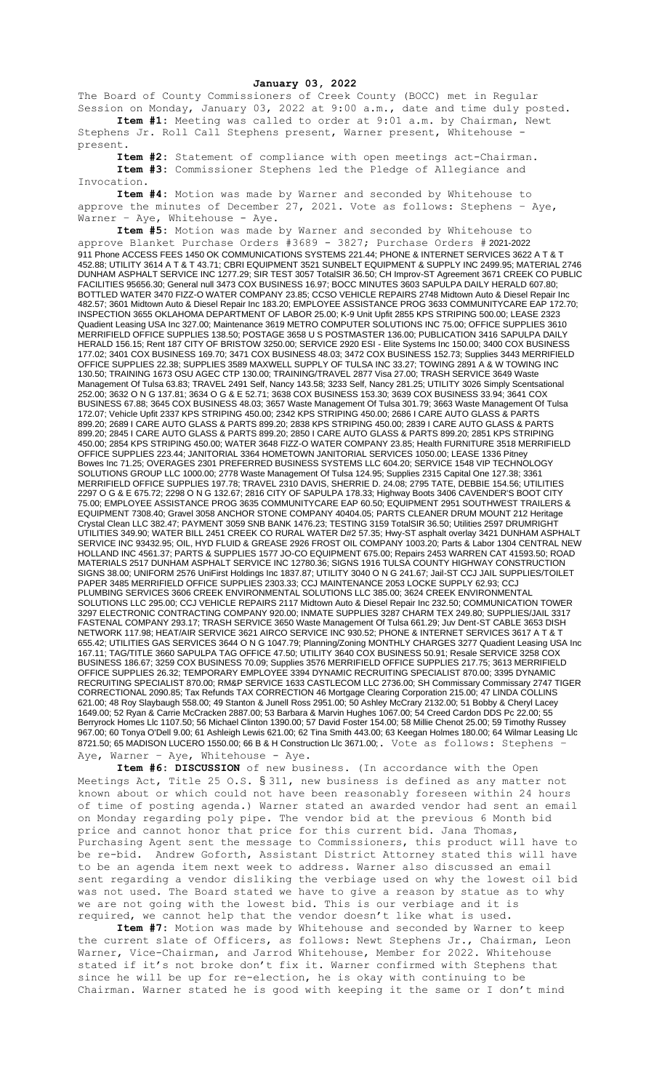## **January 03, 2022**

The Board of County Commissioners of Creek County (BOCC) met in Regular Session on Monday, January 03, 2022 at 9:00 a.m., date and time duly posted. **Item #1:** Meeting was called to order at 9:01 a.m. by Chairman, Newt

Stephens Jr. Roll Call Stephens present, Warner present, Whitehouse present.

**Item #2:** Statement of compliance with open meetings act-Chairman. **Item #3:** Commissioner Stephens led the Pledge of Allegiance and Invocation.

**Item #4:** Motion was made by Warner and seconded by Whitehouse to approve the minutes of December 27, 2021. Vote as follows: Stephens – Aye, Warner - Aye, Whitehouse - Aye.

**Item #5:** Motion was made by Warner and seconded by Whitehouse to approve Blanket Purchase Orders #3689 - 3827; Purchase Orders # 2021-2022 911 Phone ACCESS FEES 1450 OK COMMUNICATIONS SYSTEMS 221.44; PHONE & INTERNET SERVICES 3622 A T & T 452.88; UTILITY 3614 A T & T 43.71; CBRI EQUIPMENT 3521 SUNBELT EQUIPMENT & SUPPLY INC 2499.95; MATERIAL 2746 DUNHAM ASPHALT SERVICE INC 1277.29; SIR TEST 3057 TotalSIR 36.50; CH Improv-ST Agreement 3671 CREEK CO PUBLIC FACILITIES 95656.30; General null 3473 COX BUSINESS 16.97; BOCC MINUTES 3603 SAPULPA DAILY HERALD 607.80; BOTTLED WATER 3470 FIZZ-O WATER COMPANY 23.85; CCSO VEHICLE REPAIRS 2748 Midtown Auto & Diesel Repair Inc 482.57; 3601 Midtown Auto & Diesel Repair Inc 183.20; EMPLOYEE ASSISTANCE PROG 3633 COMMUNITYCARE EAP 172.70; INSPECTION 3655 OKLAHOMA DEPARTMENT OF LABOR 25.00; K-9 Unit Upfit 2855 KPS STRIPING 500.00; LEASE 2323 Quadient Leasing USA Inc 327.00; Maintenance 3619 METRO COMPUTER SOLUTIONS INC 75.00; OFFICE SUPPLIES 3610 MERRIFIELD OFFICE SUPPLIES 138.50; POSTAGE 3658 U S POSTMASTER 136.00; PUBLICATION 3416 SAPULPA DAILY HERALD 156.15; Rent 187 CITY OF BRISTOW 3250.00; SERVICE 2920 ESI - Elite Systems Inc 150.00; 3400 COX BUSINESS 177.02; 3401 COX BUSINESS 169.70; 3471 COX BUSINESS 48.03; 3472 COX BUSINESS 152.73; Supplies 3443 MERRIFIELD OFFICE SUPPLIES 22.38; SUPPLIES 3589 MAXWELL SUPPLY OF TULSA INC 33.27; TOWING 2891 A & W TOWING INC 130.50; TRAINING 1673 OSU AGEC CTP 130.00; TRAINING/TRAVEL 2877 Visa 27.00; TRASH SERVICE 3649 Waste Management Of Tulsa 63.83; TRAVEL 2491 Self, Nancy 143.58; 3233 Self, Nancy 281.25; UTILITY 3026 Simply Scentsational 252.00; 3632 O N G 137.81; 3634 O G & E 52.71; 3638 COX BUSINESS 153.30; 3639 COX BUSINESS 33.94; 3641 COX BUSINESS 67.88; 3645 COX BUSINESS 48.03; 3657 Waste Management Of Tulsa 301.79; 3663 Waste Management Of Tulsa 172.07; Vehicle Upfit 2337 KPS STRIPING 450.00; 2342 KPS STRIPING 450.00; 2686 I CARE AUTO GLASS & PARTS 899.20; 2689 I CARE AUTO GLASS & PARTS 899.20; 2838 KPS STRIPING 450.00; 2839 I CARE AUTO GLASS & PARTS 899.20; 2845 I CARE AUTO GLASS & PARTS 899.20; 2850 I CARE AUTO GLASS & PARTS 899.20; 2851 KPS STRIPING 450.00; 2854 KPS STRIPING 450.00; WATER 3648 FIZZ-O WATER COMPANY 23.85; Health FURNITURE 3518 MERRIFIELD OFFICE SUPPLIES 223.44; JANITORIAL 3364 HOMETOWN JANITORIAL SERVICES 1050.00; LEASE 1336 Pitney Bowes Inc 71.25; OVERAGES 2301 PREFERRED BUSINESS SYSTEMS LLC 604.20; SERVICE 1548 VIP TECHNOLOGY SOLUTIONS GROUP LLC 1000.00; 2778 Waste Management Of Tulsa 124.95; Supplies 2315 Capital One 127.38; 3361 MERRIFIELD OFFICE SUPPLIES 197.78; TRAVEL 2310 DAVIS, SHERRIE D. 24.08; 2795 TATE, DEBBIE 154.56; UTILITIES 2297 O G & E 675.72; 2298 O N G 132.67; 2816 CITY OF SAPULPA 178.33; Highway Boots 3406 CAVENDER'S BOOT CITY 75.00; EMPLOYEE ASSISTANCE PROG 3635 COMMUNITYCARE EAP 60.50; EQUIPMENT 2951 SOUTHWEST TRAILERS & EQUIPMENT 7308.40; Gravel 3058 ANCHOR STONE COMPANY 40404.05; PARTS CLEANER DRUM MOUNT 212 Heritage Crystal Clean LLC 382.47; PAYMENT 3059 SNB BANK 1476.23; TESTING 3159 TotalSIR 36.50; Utilities 2597 DRUMRIGHT UTILITIES 349.90; WATER BILL 2451 CREEK CO RURAL WATER D#2 57.35; Hwy-ST asphalt overlay 3421 DUNHAM ASPHALT SERVICE INC 93432.95; OIL, HYD FLUID & GREASE 2926 FROST OIL COMPANY 1003.20; Parts & Labor 1304 CENTRAL NEW HOLLAND INC 4561.37; PARTS & SUPPLIES 1577 JO-CO EQUIPMENT 675.00; Repairs 2453 WARREN CAT 41593.50; ROAD MATERIALS 2517 DUNHAM ASPHALT SERVICE INC 12780.36; SIGNS 1916 TULSA COUNTY HIGHWAY CONSTRUCTION SIGNS 38.00; UNIFORM 2576 UniFirst Holdings Inc 1837.87; UTILITY 3040 O N G 241.67; Jail-ST CCJ JAIL SUPPLIES/TOILET PAPER 3485 MERRIFIELD OFFICE SUPPLIES 2303.33; CCJ MAINTENANCE 2053 LOCKE SUPPLY 62.93; CCJ PLUMBING SERVICES 3606 CREEK ENVIRONMENTAL SOLUTIONS LLC 385.00; 3624 CREEK ENVIRONMENTAL SOLUTIONS LLC 295.00; CCJ VEHICLE REPAIRS 2117 Midtown Auto & Diesel Repair Inc 232.50; COMMUNICATION TOWER 3297 ELECTRONIC CONTRACTING COMPANY 920.00; INMATE SUPPLIES 3287 CHARM TEX 249.80; SUPPLIES/JAIL 3317 FASTENAL COMPANY 293.17; TRASH SERVICE 3650 Waste Management Of Tulsa 661.29; Juv Dent-ST CABLE 3653 DISH NETWORK 117.98; HEAT/AIR SERVICE 3621 AIRCO SERVICE INC 930.52; PHONE & INTERNET SERVICES 3617 A T & T 655.42; UTILITIES GAS SERVICES 3644 O N G 1047.79; Planning/Zoning MONTHLY CHARGES 3277 Quadient Leasing USA Inc 167.11; TAG/TITLE 3660 SAPULPA TAG OFFICE 47.50; UTILITY 3640 COX BUSINESS 50.91; Resale SERVICE 3258 COX BUSINESS 186.67; 3259 COX BUSINESS 70.09; Supplies 3576 MERRIFIELD OFFICE SUPPLIES 217.75; 3613 MERRIFIELD OFFICE SUPPLIES 26.32; TEMPORARY EMPLOYEE 3394 DYNAMIC RECRUITING SPECIALIST 870.00; 3395 DYNAMIC RECRUITING SPECIALIST 870.00; RM&P SERVICE 1633 CASTLECOM LLC 2736.00; SH Commissary Commissary 2747 TIGER CORRECTIONAL 2090.85; Tax Refunds TAX CORRECTION 46 Mortgage Clearing Corporation 215.00; 47 LINDA COLLINS 621.00; 48 Roy Slaybaugh 558.00; 49 Stanton & Junell Ross 2951.00; 50 Ashley McCrary 2132.00; 51 Bobby & Cheryl Lacey 1649.00; 52 Ryan & Carrie McCracken 2887.00; 53 Barbara & Marvin Hughes 1067.00; 54 Creed Cardon DDS Pc 22.00; 55 Berryrock Homes Llc 1107.50; 56 Michael Clinton 1390.00; 57 David Foster 154.00; 58 Millie Chenot 25.00; 59 Timothy Russey 967.00; 60 Tonya O'Dell 9.00; 61 Ashleigh Lewis 621.00; 62 Tina Smith 443.00; 63 Keegan Holmes 180.00; 64 Wilmar Leasing Llc 8721.50; 65 MADISON LUCERO 1550.00; 66 B & H Construction Llc 3671.00;. Vote as follows: Stephens Aye, Warner - Aye, Whitehouse - Aye.

**Item #6: DISCUSSION** of new business. (In accordance with the Open Meetings Act, Title 25 O.S. § 311, new business is defined as any matter not known about or which could not have been reasonably foreseen within 24 hours of time of posting agenda.) Warner stated an awarded vendor had sent an email on Monday regarding poly pipe. The vendor bid at the previous 6 Month bid price and cannot honor that price for this current bid. Jana Thomas, Purchasing Agent sent the message to Commissioners, this product will have to be re-bid. Andrew Goforth, Assistant District Attorney stated this will have to be an agenda item next week to address. Warner also discussed an email sent regarding a vendor disliking the verbiage used on why the lowest oil bid was not used. The Board stated we have to give a reason by statue as to why we are not going with the lowest bid. This is our verbiage and it is required, we cannot help that the vendor doesn't like what is used.

**Item #7:** Motion was made by Whitehouse and seconded by Warner to keep the current slate of Officers, as follows: Newt Stephens Jr., Chairman, Leon Warner, Vice-Chairman, and Jarrod Whitehouse, Member for 2022. Whitehouse stated if it's not broke don't fix it. Warner confirmed with Stephens that since he will be up for re-election, he is okay with continuing to be Chairman. Warner stated he is good with keeping it the same or I don't mind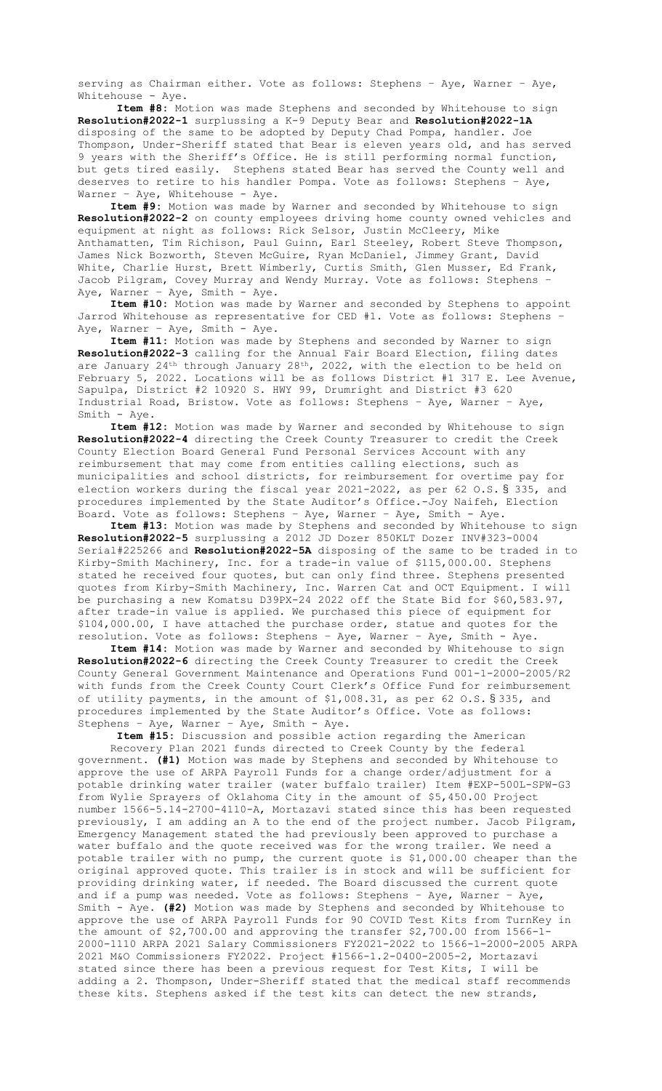serving as Chairman either. Vote as follows: Stephens – Aye, Warner – Aye, Whitehouse - Aye.

**Item #8:** Motion was made Stephens and seconded by Whitehouse to sign **Resolution#2022-1** surplussing a K-9 Deputy Bear and **Resolution#2022-1A** disposing of the same to be adopted by Deputy Chad Pompa, handler. Joe Thompson, Under-Sheriff stated that Bear is eleven years old, and has served 9 years with the Sheriff's Office. He is still performing normal function, but gets tired easily. Stephens stated Bear has served the County well and deserves to retire to his handler Pompa. Vote as follows: Stephens – Aye, Warner - Aye, Whitehouse - Aye.

**Item #9:** Motion was made by Warner and seconded by Whitehouse to sign **Resolution#2022-2** on county employees driving home county owned vehicles and equipment at night as follows: Rick Selsor, Justin McCleery, Mike Anthamatten, Tim Richison, Paul Guinn, Earl Steeley, Robert Steve Thompson, James Nick Bozworth, Steven McGuire, Ryan McDaniel, Jimmey Grant, David White, Charlie Hurst, Brett Wimberly, Curtis Smith, Glen Musser, Ed Frank, Jacob Pilgram, Covey Murray and Wendy Murray. Vote as follows: Stephens – Aye, Warner - Aye, Smith - Aye.

**Item #10:** Motion was made by Warner and seconded by Stephens to appoint Jarrod Whitehouse as representative for CED #1. Vote as follows: Stephens – Aye, Warner - Aye, Smith - Aye.

**Item #11:** Motion was made by Stephens and seconded by Warner to sign **Resolution#2022-3** calling for the Annual Fair Board Election, filing dates are January 24<sup>th</sup> through January 28<sup>th</sup>, 2022, with the election to be held on February 5, 2022. Locations will be as follows District #1 317 E. Lee Avenue, Sapulpa, District #2 10920 S. HWY 99, Drumright and District #3 620 Industrial Road, Bristow. Vote as follows: Stephens – Aye, Warner – Aye, Smith - Aye.

**Item #12:** Motion was made by Warner and seconded by Whitehouse to sign **Resolution#2022-4** directing the Creek County Treasurer to credit the Creek County Election Board General Fund Personal Services Account with any reimbursement that may come from entities calling elections, such as municipalities and school districts, for reimbursement for overtime pay for election workers during the fiscal year 2021-2022, as per 62 O.S. § 335, and procedures implemented by the State Auditor's Office.-Joy Naifeh, Election Board. Vote as follows: Stephens – Aye, Warner – Aye, Smith - Aye.

**Item #13:** Motion was made by Stephens and seconded by Whitehouse to sign **Resolution#2022-5** surplussing a 2012 JD Dozer 850KLT Dozer INV#323-0004 Serial#225266 and **Resolution#2022-5A** disposing of the same to be traded in to Kirby-Smith Machinery, Inc. for a trade-in value of \$115,000.00. Stephens stated he received four quotes, but can only find three. Stephens presented quotes from Kirby-Smith Machinery, Inc. Warren Cat and OCT Equipment. I will be purchasing a new Komatsu D39PX-24 2022 off the State Bid for \$60,583.97, after trade-in value is applied. We purchased this piece of equipment for \$104,000.00, I have attached the purchase order, statue and quotes for the resolution. Vote as follows: Stephens – Aye, Warner – Aye, Smith - Aye.

**Item #14:** Motion was made by Warner and seconded by Whitehouse to sign **Resolution#2022-6** directing the Creek County Treasurer to credit the Creek County General Government Maintenance and Operations Fund 001-1-2000-2005/R2 with funds from the Creek County Court Clerk's Office Fund for reimbursement of utility payments, in the amount of \$1,008.31, as per 62 O.S. § 335, and Stephens – Aye, Warner – Aye, Smith - Aye.

procedures implemented by the State Auditor's Office. Vote as follows: **Item #15:** Discussion and possible action regarding the American Recovery Plan 2021 funds directed to Creek County by the federal government. **(#1)** Motion was made by Stephens and seconded by Whitehouse to approve the use of ARPA Payroll Funds for a change order/adjustment for a potable drinking water trailer (water buffalo trailer) Item #EXP-500L-SPW-G3 from Wylie Sprayers of Oklahoma City in the amount of \$5,450.00 Project number 1566-5.14-2700-4110-A, Mortazavi stated since this has been requested previously, I am adding an A to the end of the project number. Jacob Pilgram, Emergency Management stated the had previously been approved to purchase a water buffalo and the quote received was for the wrong trailer. We need a potable trailer with no pump, the current quote is \$1,000.00 cheaper than the original approved quote. This trailer is in stock and will be sufficient for providing drinking water, if needed. The Board discussed the current quote and if a pump was needed. Vote as follows: Stephens – Aye, Warner – Aye, Smith - Aye. **(#2)** Motion was made by Stephens and seconded by Whitehouse to approve the use of ARPA Payroll Funds for 90 COVID Test Kits from TurnKey in the amount of \$2,700.00 and approving the transfer \$2,700.00 from 1566-1-2000-1110 ARPA 2021 Salary Commissioners FY2021-2022 to 1566-1-2000-2005 ARPA 2021 M&O Commissioners FY2022. Project #1566-1.2-0400-2005-2, Mortazavi stated since there has been a previous request for Test Kits, I will be adding a 2. Thompson, Under-Sheriff stated that the medical staff recommends these kits. Stephens asked if the test kits can detect the new strands,